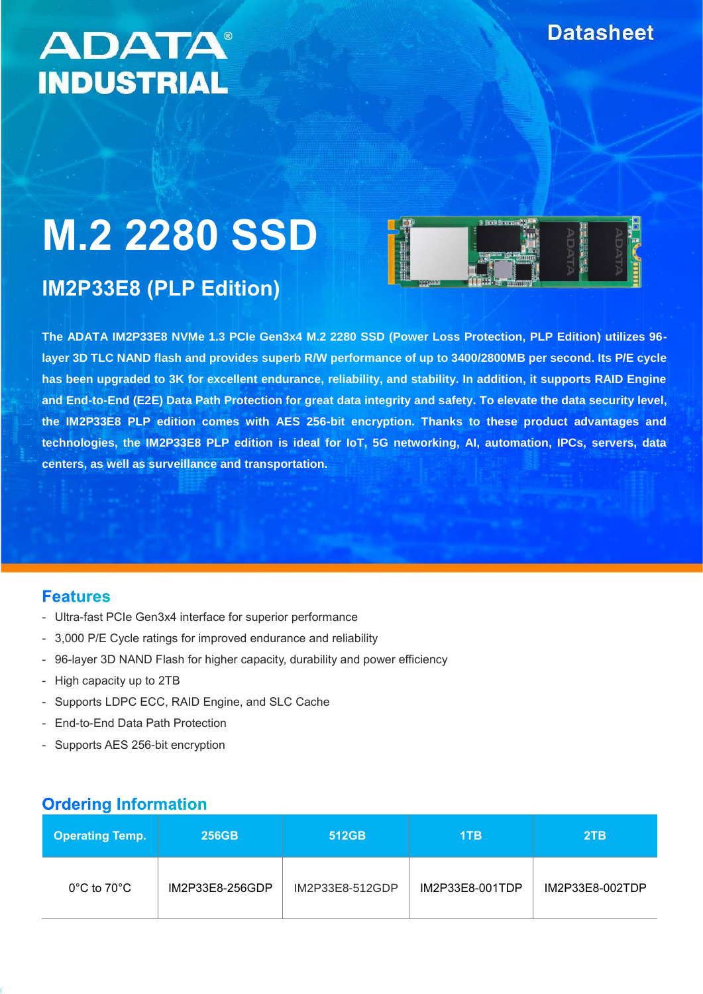# **ADATA® INDUSTRIAL**

# **M.2 2280 SSD**

# **IM2P33E8 (PLP Edition)**



**The ADATA IM2P33E8 NVMe 1.3 PCIe Gen3x4 M.2 2280 SSD (Power Loss Protection, PLP Edition) utilizes 96 layer 3D TLC NAND flash and provides superb R/W performance of up to 3400/2800MB per second. Its P/E cycle has been upgraded to 3K for excellent endurance, reliability, and stability. In addition, it supports RAID Engine and End-to-End (E2E) Data Path Protection for great data integrity and safety. To elevate the data security level, the IM2P33E8 PLP edition comes with AES 256-bit encryption. Thanks to these product advantages and technologies, the IM2P33E8 PLP edition is ideal for IoT, 5G networking, AI, automation, IPCs, servers, data centers, as well as surveillance and transportation.**

#### **Features**

- Ultra-fast PCIe Gen3x4 interface for superior performance
- 3,000 P/E Cycle ratings for improved endurance and reliability
- 96-layer 3D NAND Flash for higher capacity, durability and power efficiency
- High capacity up to 2TB
- Supports LDPC ECC, RAID Engine, and SLC Cache
- End-to-End Data Path Protection
- Supports AES 256-bit encryption

## **Ordering Information**

| <b>Operating Temp.</b>           | <b>256GB</b>    | 512GB           | 1TB             | 2TB             |
|----------------------------------|-----------------|-----------------|-----------------|-----------------|
| $0^{\circ}$ C to 70 $^{\circ}$ C | IM2P33E8-256GDP | IM2P33E8-512GDP | IM2P33E8-001TDP | IM2P33E8-002TDP |